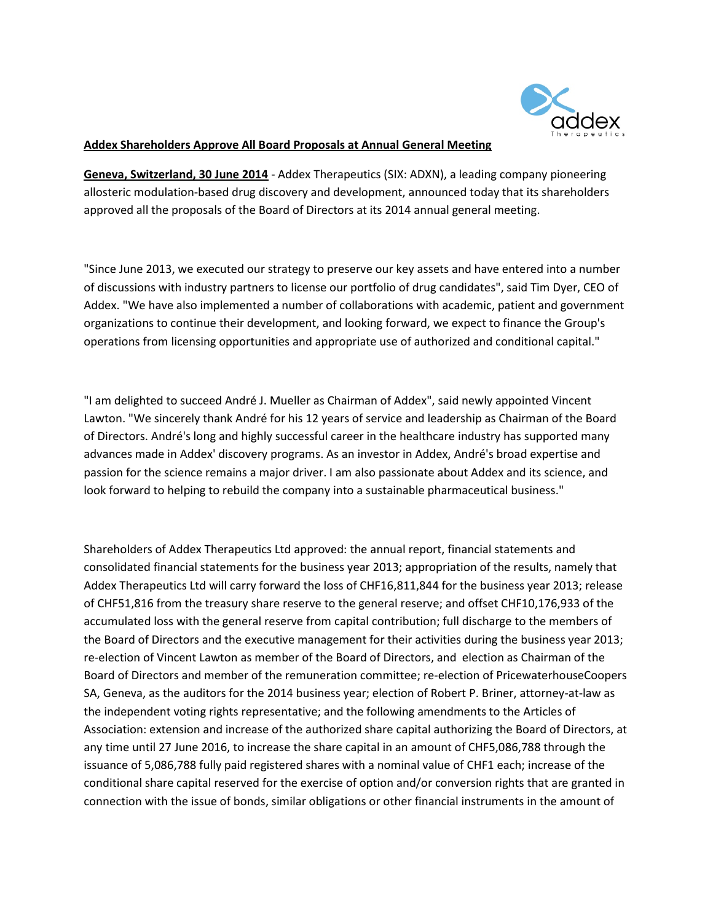

## Addex Shareholders Approve All Board Proposals at Annual General Meeting

Geneva, Switzerland, 30 June 2014 - Addex Therapeutics (SIX: ADXN), a leading company pioneering allosteric modulation-based drug discovery and development, announced today that its shareholders approved all the proposals of the Board of Directors at its 2014 annual general meeting.

"Since June 2013, we executed our strategy to preserve our key assets and have entered into a number of discussions with industry partners to license our portfolio of drug candidates", said Tim Dyer, CEO of Addex. "We have also implemented a number of collaborations with academic, patient and government organizations to continue their development, and looking forward, we expect to finance the Group's operations from licensing opportunities and appropriate use of authorized and conditional capital."

"I am delighted to succeed André J. Mueller as Chairman of Addex", said newly appointed Vincent Lawton. "We sincerely thank André for his 12 years of service and leadership as Chairman of the Board of Directors. André's long and highly successful career in the healthcare industry has supported many advances made in Addex' discovery programs. As an investor in Addex, André's broad expertise and passion for the science remains a major driver. I am also passionate about Addex and its science, and look forward to helping to rebuild the company into a sustainable pharmaceutical business."

Shareholders of Addex Therapeutics Ltd approved: the annual report, financial statements and consolidated financial statements for the business year 2013; appropriation of the results, namely that Addex Therapeutics Ltd will carry forward the loss of CHF16,811,844 for the business year 2013; release of CHF51,816 from the treasury share reserve to the general reserve; and offset CHF10,176,933 of the accumulated loss with the general reserve from capital contribution; full discharge to the members of the Board of Directors and the executive management for their activities during the business year 2013; re-election of Vincent Lawton as member of the Board of Directors, and election as Chairman of the Board of Directors and member of the remuneration committee; re-election of PricewaterhouseCoopers SA, Geneva, as the auditors for the 2014 business year; election of Robert P. Briner, attorney-at-law as the independent voting rights representative; and the following amendments to the Articles of Association: extension and increase of the authorized share capital authorizing the Board of Directors, at any time until 27 June 2016, to increase the share capital in an amount of CHF5,086,788 through the issuance of 5,086,788 fully paid registered shares with a nominal value of CHF1 each; increase of the conditional share capital reserved for the exercise of option and/or conversion rights that are granted in connection with the issue of bonds, similar obligations or other financial instruments in the amount of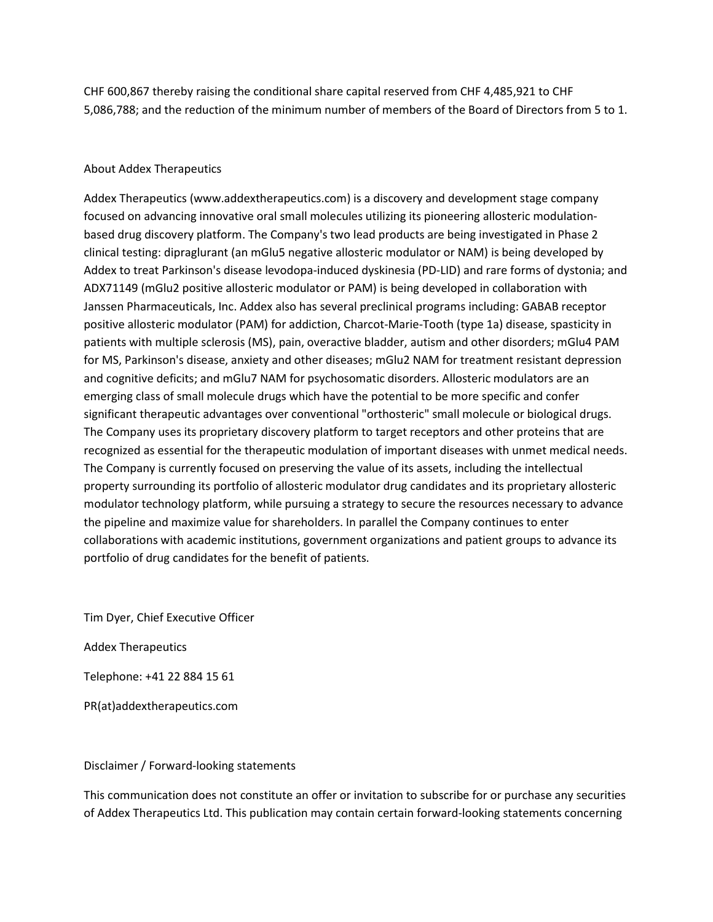CHF 600,867 thereby raising the conditional share capital reserved from CHF 4,485,921 to CHF 5,086,788; and the reduction of the minimum number of members of the Board of Directors from 5 to 1.

## About Addex Therapeutics

Addex Therapeutics (www.addextherapeutics.com) is a discovery and development stage company focused on advancing innovative oral small molecules utilizing its pioneering allosteric modulationbased drug discovery platform. The Company's two lead products are being investigated in Phase 2 clinical testing: dipraglurant (an mGlu5 negative allosteric modulator or NAM) is being developed by Addex to treat Parkinson's disease levodopa-induced dyskinesia (PD-LID) and rare forms of dystonia; and ADX71149 (mGlu2 positive allosteric modulator or PAM) is being developed in collaboration with Janssen Pharmaceuticals, Inc. Addex also has several preclinical programs including: GABAB receptor positive allosteric modulator (PAM) for addiction, Charcot-Marie-Tooth (type 1a) disease, spasticity in patients with multiple sclerosis (MS), pain, overactive bladder, autism and other disorders; mGlu4 PAM for MS, Parkinson's disease, anxiety and other diseases; mGlu2 NAM for treatment resistant depression and cognitive deficits; and mGlu7 NAM for psychosomatic disorders. Allosteric modulators are an emerging class of small molecule drugs which have the potential to be more specific and confer significant therapeutic advantages over conventional "orthosteric" small molecule or biological drugs. The Company uses its proprietary discovery platform to target receptors and other proteins that are recognized as essential for the therapeutic modulation of important diseases with unmet medical needs. The Company is currently focused on preserving the value of its assets, including the intellectual property surrounding its portfolio of allosteric modulator drug candidates and its proprietary allosteric modulator technology platform, while pursuing a strategy to secure the resources necessary to advance the pipeline and maximize value for shareholders. In parallel the Company continues to enter collaborations with academic institutions, government organizations and patient groups to advance its portfolio of drug candidates for the benefit of patients.

Tim Dyer, Chief Executive Officer

Addex Therapeutics

Telephone: +41 22 884 15 61

PR(at)addextherapeutics.com

Disclaimer / Forward-looking statements

This communication does not constitute an offer or invitation to subscribe for or purchase any securities of Addex Therapeutics Ltd. This publication may contain certain forward-looking statements concerning